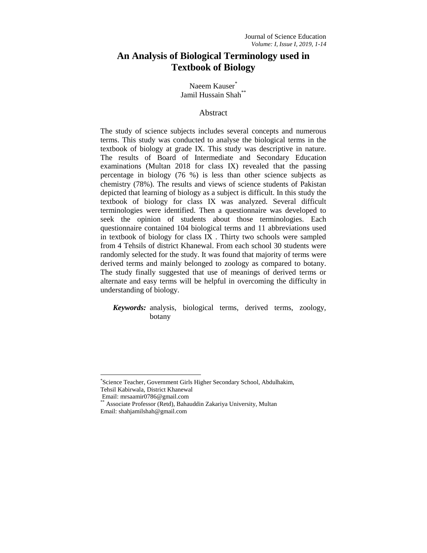# **An Analysis of Biological Terminology used in Textbook of Biology**

Naeem Kauser<sup>\*</sup> Jamil Hussain Shah<sup>\*\*</sup>

#### Abstract

The study of science subjects includes several concepts and numerous terms. This study was conducted to analyse the biological terms in the textbook of biology at grade IX. This study was descriptive in nature. The results of Board of Intermediate and Secondary Education examinations (Multan 2018 for class IX) revealed that the passing percentage in biology (76 %) is less than other science subjects as chemistry (78%). The results and views of science students of Pakistan depicted that learning of biology as a subject is difficult. In this study the textbook of biology for class IX was analyzed. Several difficult terminologies were identified. Then a questionnaire was developed to seek the opinion of students about those terminologies. Each questionnaire contained 104 biological terms and 11 abbreviations used in textbook of biology for class IX . Thirty two schools were sampled from 4 Tehsils of district Khanewal. From each school 30 students were randomly selected for the study. It was found that majority of terms were derived terms and mainly belonged to zoology as compared to botany. The study finally suggested that use of meanings of derived terms or alternate and easy terms will be helpful in overcoming the difficulty in understanding of biology.

*Keywords:* analysis, biological terms, derived terms, zoology, botany

l

<sup>\*</sup> Science Teacher, Government Girls Higher Secondary School, Abdulhakim, Tehsil Kabirwala, District Khanewal

Email: [mrsaamir0786@gmail.com](mailto:rsaamir0786@gmail.com)

<sup>\*\*</sup> Associate Professor (Retd), Bahauddin Zakariya University, Multan Email: [shahjamilshah@gmail.com](mailto:shahjamilshah@gmail.com)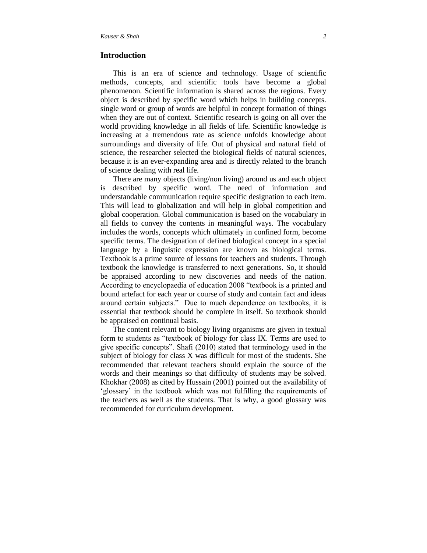# **Introduction**

This is an era of science and technology. Usage of scientific methods, concepts, and scientific tools have become a global phenomenon. Scientific information is shared across the regions. Every object is described by specific word which helps in building concepts. single word or group of words are helpful in concept formation of things when they are out of context. Scientific research is going on all over the world providing knowledge in all fields of life. Scientific knowledge is increasing at a tremendous rate as science unfolds knowledge about surroundings and diversity of life. Out of physical and natural field of science, the researcher selected the biological fields of natural sciences, because it is an ever-expanding area and is directly related to the branch of science dealing with real life.

There are many objects (living/non living) around us and each object is described by specific word. The need of information and understandable communication require specific designation to each item. This will lead to globalization and will help in global competition and global cooperation. Global communication is based on the vocabulary in all fields to convey the contents in meaningful ways. The vocabulary includes the words, concepts which ultimately in confined form, become specific terms. The designation of defined biological concept in a special language by a linguistic expression are known as biological terms. Textbook is a prime source of lessons for teachers and students. Through textbook the knowledge is transferred to next generations. So, it should be appraised according to new discoveries and needs of the nation. According to encyclopaedia of education 2008 "textbook is a printed and bound artefact for each year or course of study and contain fact and ideas around certain subjects." Due to much dependence on textbooks, it is essential that textbook should be complete in itself. So textbook should be appraised on continual basis.

The content relevant to biology living organisms are given in textual form to students as "textbook of biology for class IX. Terms are used to give specific concepts". Shafi (2010) stated that terminology used in the subject of biology for class X was difficult for most of the students. She recommended that relevant teachers should explain the source of the words and their meanings so that difficulty of students may be solved. Khokhar (2008) as cited by Hussain (2001) pointed out the availability of 'glossary' in the textbook which was not fulfilling the requirements of the teachers as well as the students. That is why, a good glossary was recommended for curriculum development.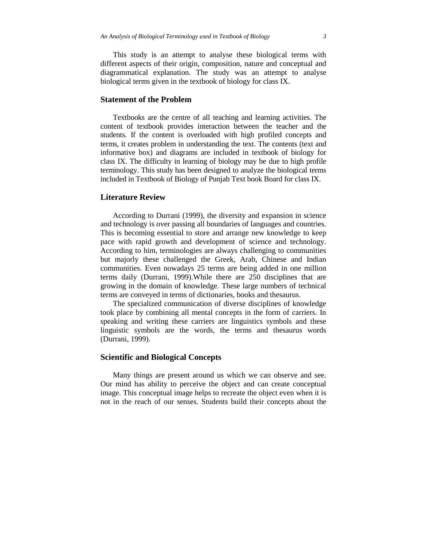This study is an attempt to analyse these biological terms with different aspects of their origin, composition, nature and conceptual and diagrammatical explanation. The study was an attempt to analyse biological terms given in the textbook of biology for class IX.

# **Statement of the Problem**

Textbooks are the centre of all teaching and learning activities. The content of textbook provides interaction between the teacher and the students. If the content is overloaded with high profiled concepts and terms, it creates problem in understanding the text. The contents (text and informative box) and diagrams are included in textbook of biology for class IX. The difficulty in learning of biology may be due to high profile terminology. This study has been designed to analyze the biological terms included in Textbook of Biology of Punjab Text book Board for class IX.

# **Literature Review**

According to Durrani (1999), the diversity and expansion in science and technology is over passing all boundaries of languages and countries. This is becoming essential to store and arrange new knowledge to keep pace with rapid growth and development of science and technology. According to him, terminologies are always challenging to communities but majorly these challenged the Greek, Arab, Chinese and Indian communities. Even nowadays 25 terms are being added in one million terms daily (Durrani, 1999).While there are 250 disciplines that are growing in the domain of knowledge. These large numbers of technical terms are conveyed in terms of dictionaries, books and thesaurus.

The specialized communication of diverse disciplines of knowledge took place by combining all mental concepts in the form of carriers. In speaking and writing these carriers are linguistics symbols and these linguistic symbols are the words, the terms and thesaurus words (Durrani, 1999).

# **Scientific and Biological Concepts**

Many things are present around us which we can observe and see. Our mind has ability to perceive the object and can create conceptual image. This conceptual image helps to recreate the object even when it is not in the reach of our senses. Students build their concepts about the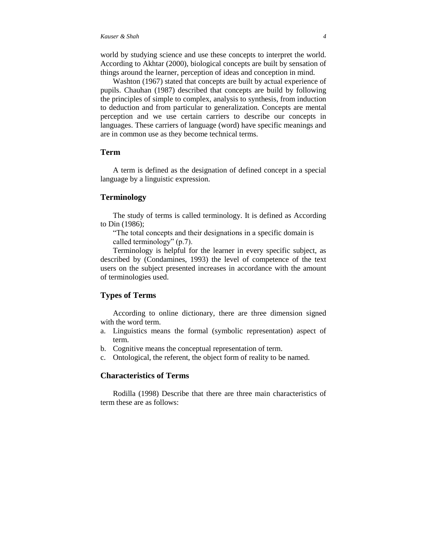world by studying science and use these concepts to interpret the world. According to Akhtar (2000), biological concepts are built by sensation of things around the learner, perception of ideas and conception in mind.

Washton (1967) stated that concepts are built by actual experience of pupils. Chauhan (1987) described that concepts are build by following the principles of simple to complex, analysis to synthesis, from induction to deduction and from particular to generalization. Concepts are mental perception and we use certain carriers to describe our concepts in languages. These carriers of language (word) have specific meanings and are in common use as they become technical terms.

# **Term**

A term is defined as the designation of defined concept in a special language by a linguistic expression.

# **Terminology**

The study of terms is called terminology. It is defined as According to Din (1986);

"The total concepts and their designations in a specific domain is called terminology" (p.7).

Terminology is helpful for the learner in every specific subject, as described by (Condamines, 1993) the level of competence of the text users on the subject presented increases in accordance with the amount of terminologies used.

# **Types of Terms**

According to online dictionary, there are three dimension signed with the word term.

- a. Linguistics means the formal (symbolic representation) aspect of term.
- b. Cognitive means the conceptual representation of term.
- c. Ontological, the referent, the object form of reality to be named.

### **Characteristics of Terms**

Rodilla (1998) Describe that there are three main characteristics of term these are as follows: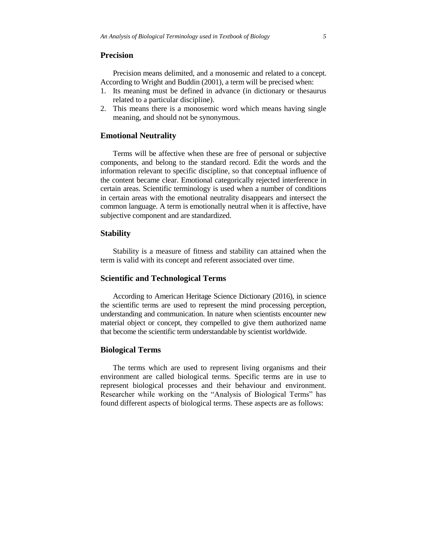# **Precision**

Precision means delimited, and a monosemic and related to a concept. According to Wright and Buddin (2001), a term will be precised when:

- 1. Its meaning must be defined in advance (in dictionary or thesaurus related to a particular discipline).
- 2. This means there is a monosemic word which means having single meaning, and should not be synonymous.

# **Emotional Neutrality**

Terms will be affective when these are free of personal or subjective components, and belong to the standard record. Edit the words and the information relevant to specific discipline, so that conceptual influence of the content became clear. Emotional categorically rejected interference in certain areas. Scientific terminology is used when a number of conditions in certain areas with the emotional neutrality disappears and intersect the common language. A term is emotionally neutral when it is affective, have subjective component and are standardized.

## **Stability**

Stability is a measure of fitness and stability can attained when the term is valid with its concept and referent associated over time.

### **Scientific and Technological Terms**

According to American Heritage Science Dictionary (2016), in science the scientific terms are used to represent the mind processing perception, understanding and communication. In nature when scientists encounter new material object or concept, they compelled to give them authorized name that become the scientific term understandable by scientist worldwide.

## **Biological Terms**

The terms which are used to represent living organisms and their environment are called biological terms. Specific terms are in use to represent biological processes and their behaviour and environment. Researcher while working on the "Analysis of Biological Terms" has found different aspects of biological terms. These aspects are as follows: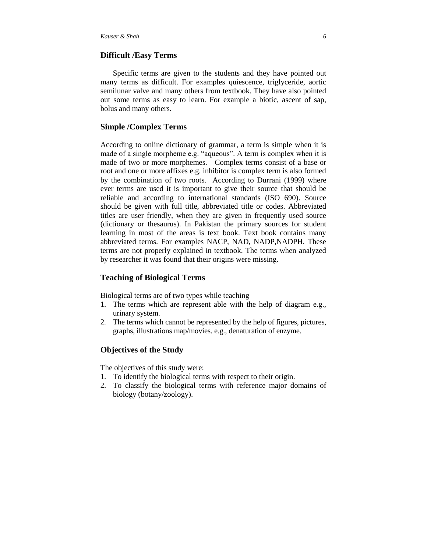# **Difficult /Easy Terms**

Specific terms are given to the students and they have pointed out many terms as difficult. For examples quiescence, triglyceride, aortic semilunar valve and many others from textbook. They have also pointed out some terms as easy to learn. For example a biotic, ascent of sap, bolus and many others.

# **Simple /Complex Terms**

According to online dictionary of grammar, a term is simple when it is made of a single morpheme e.g. "aqueous". A term is complex when it is made of two or more morphemes. Complex terms consist of a base or root and one or more affixes e.g. inhibitor is complex term is also formed by the combination of two roots. According to Durrani (1999) where ever terms are used it is important to give their source that should be reliable and according to international standards (ISO 690). Source should be given with full title, abbreviated title or codes. Abbreviated titles are user friendly, when they are given in frequently used source (dictionary or thesaurus). In Pakistan the primary sources for student learning in most of the areas is text book. Text book contains many abbreviated terms. For examples NACP, NAD, NADP,NADPH. These terms are not properly explained in textbook. The terms when analyzed by researcher it was found that their origins were missing.

# **Teaching of Biological Terms**

Biological terms are of two types while teaching

- 1. The terms which are represent able with the help of diagram e.g., urinary system.
- 2. The terms which cannot be represented by the help of figures, pictures, graphs, illustrations map/movies. e.g., denaturation of enzyme.

## **Objectives of the Study**

The objectives of this study were:

- 1. To identify the biological terms with respect to their origin.
- 2. To classify the biological terms with reference major domains of biology (botany/zoology).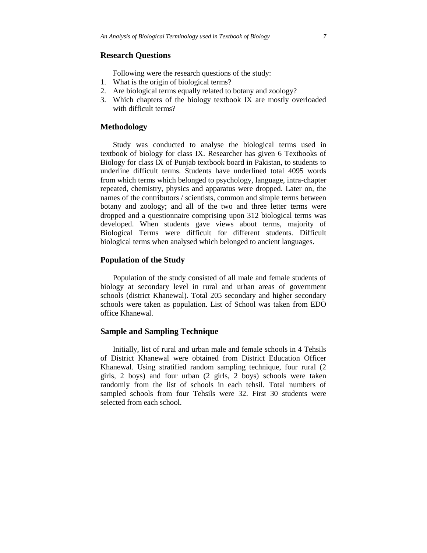# **Research Questions**

Following were the research questions of the study:

- 1. What is the origin of biological terms?
- 2. Are biological terms equally related to botany and zoology?
- 3. Which chapters of the biology textbook IX are mostly overloaded with difficult terms?

# **Methodology**

Study was conducted to analyse the biological terms used in textbook of biology for class IX. Researcher has given 6 Textbooks of Biology for class IX of Punjab textbook board in Pakistan, to students to underline difficult terms. Students have underlined total 4095 words from which terms which belonged to psychology, language, intra-chapter repeated, chemistry, physics and apparatus were dropped. Later on, the names of the contributors / scientists, common and simple terms between botany and zoology; and all of the two and three letter terms were dropped and a questionnaire comprising upon 312 biological terms was developed. When students gave views about terms, majority of Biological Terms were difficult for different students. Difficult biological terms when analysed which belonged to ancient languages.

#### **Population of the Study**

Population of the study consisted of all male and female students of biology at secondary level in rural and urban areas of government schools (district Khanewal). Total 205 secondary and higher secondary schools were taken as population. List of School was taken from EDO office Khanewal.

# **Sample and Sampling Technique**

Initially, list of rural and urban male and female schools in 4 Tehsils of District Khanewal were obtained from District Education Officer Khanewal. Using stratified random sampling technique, four rural (2 girls, 2 boys) and four urban (2 girls, 2 boys) schools were taken randomly from the list of schools in each tehsil. Total numbers of sampled schools from four Tehsils were 32. First 30 students were selected from each school.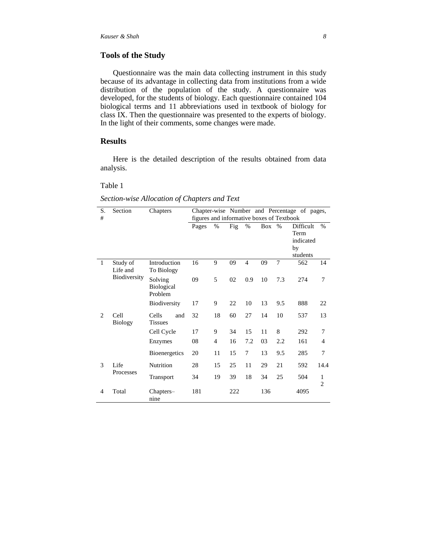# **Tools of the Study**

Questionnaire was the main data collecting instrument in this study because of its advantage in collecting data from institutions from a wide distribution of the population of the study. A questionnaire was developed, for the students of biology. Each questionnaire contained 104 biological terms and 11 abbreviations used in textbook of biology for class IX. Then the questionnaire was presented to the experts of biology. In the light of their comments, some changes were made.

# **Results**

Here is the detailed description of the results obtained from data analysis.

#### Table 1

*Section-wise Allocation of Chapters and Text*

| S.                            | Section                | Chapters                                |                                           |                |     |                |     |      | Chapter-wise Number and Percentage of pages, |                     |
|-------------------------------|------------------------|-----------------------------------------|-------------------------------------------|----------------|-----|----------------|-----|------|----------------------------------------------|---------------------|
| #                             |                        |                                         | figures and informative boxes of Textbook |                |     |                |     |      |                                              |                     |
|                               |                        |                                         | Pages                                     | %              | Fig | %              | Box | $\%$ | Difficult                                    | $\%$                |
|                               |                        |                                         |                                           |                |     |                |     |      | Term                                         |                     |
|                               |                        |                                         |                                           |                |     |                |     |      | indicated                                    |                     |
|                               |                        |                                         |                                           |                |     |                |     |      | by                                           |                     |
|                               |                        |                                         |                                           |                |     |                |     |      | students                                     |                     |
| 1                             | Study of<br>Life and   | Introduction<br>To Biology              | 16                                        | 9              | 09  | $\overline{4}$ | 09  | 7    | 562                                          | 14                  |
|                               | Biodiversity           | Solving<br><b>Biological</b><br>Problem | 09                                        | 5              | 02  | 0.9            | 10  | 7.3  | 274                                          | 7                   |
|                               |                        | Biodiversity                            | 17                                        | 9              | 22  | 10             | 13  | 9.5  | 888                                          | 22                  |
| $\mathfrak{D}_{\mathfrak{p}}$ | Cell<br><b>Biology</b> | Cells<br>and<br><b>Tissues</b>          | 32                                        | 18             | 60  | 27             | 14  | 10   | 537                                          | 13                  |
|                               |                        | Cell Cycle                              | 17                                        | 9              | 34  | 15             | 11  | 8    | 292                                          | 7                   |
|                               |                        | Enzymes                                 | 08                                        | $\overline{4}$ | 16  | 7.2            | 03  | 2.2  | 161                                          | 4                   |
|                               |                        | <b>Bioenergetics</b>                    | 20                                        | 11             | 15  | 7              | 13  | 9.5  | 285                                          | 7                   |
| 3                             | Life<br>Processes      | Nutrition                               | 28                                        | 15             | 25  | 11             | 29  | 21   | 592                                          | 14.4                |
|                               |                        | Transport                               | 34                                        | 19             | 39  | 18             | 34  | 25   | 504                                          | 1<br>$\overline{2}$ |
| 4                             | Total                  | Chapters-<br>nine                       | 181                                       |                | 222 |                | 136 |      | 4095                                         |                     |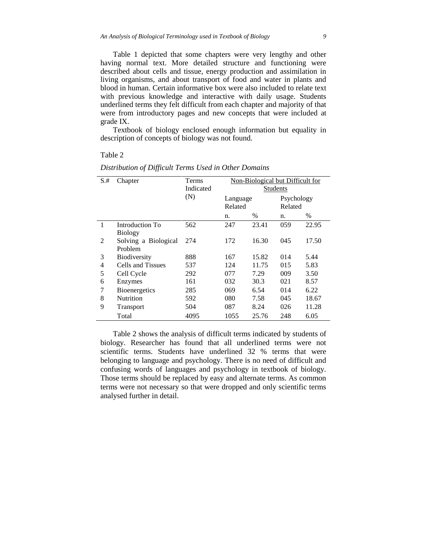Table 1 depicted that some chapters were very lengthy and other having normal text. More detailed structure and functioning were described about cells and tissue, energy production and assimilation in living organisms, and about transport of food and water in plants and blood in human. Certain informative box were also included to relate text with previous knowledge and interactive with daily usage. Students underlined terms they felt difficult from each chapter and majority of that were from introductory pages and new concepts that were included at grade IX.

Textbook of biology enclosed enough information but equality in description of concepts of biology was not found.

#### Table 2

| $S.+$        | Chapter              | Terms     | Non-Biological but Difficult for<br><b>Students</b> |       |            |       |  |  |
|--------------|----------------------|-----------|-----------------------------------------------------|-------|------------|-------|--|--|
|              |                      | Indicated |                                                     |       |            |       |  |  |
|              |                      | (N)       | Language                                            |       | Psychology |       |  |  |
|              |                      |           | Related                                             |       | Related    |       |  |  |
|              |                      |           | n.                                                  | $\%$  | n.         | $\%$  |  |  |
| $\mathbf{1}$ | Introduction To      | 562       | 247                                                 | 23.41 | 059        | 22.95 |  |  |
|              | <b>Biology</b>       |           |                                                     |       |            |       |  |  |
| 2            | Solving a Biological | 274       | 172                                                 | 16.30 | 045        | 17.50 |  |  |
|              | Problem              |           |                                                     |       |            |       |  |  |
| 3            | <b>Biodiversity</b>  | 888       | 167                                                 | 15.82 | 014        | 5.44  |  |  |
| 4            | Cells and Tissues    | 537       | 124                                                 | 11.75 | 015        | 5.83  |  |  |
| 5            | Cell Cycle           | 292       | 077                                                 | 7.29  | 009        | 3.50  |  |  |
| 6            | Enzymes              | 161       | 032                                                 | 30.3  | 021        | 8.57  |  |  |
| 7            | Bioenergetics        | 285       | 069                                                 | 6.54  | 014        | 6.22  |  |  |
| 8            | <b>Nutrition</b>     | 592       | 080                                                 | 7.58  | 045        | 18.67 |  |  |
| 9            | Transport            | 504       | 087                                                 | 8.24  | 026        | 11.28 |  |  |
|              | Total                | 4095      | 1055                                                | 25.76 | 248        | 6.05  |  |  |

*Distribution of Difficult Terms Used in Other Domains*

Table 2 shows the analysis of difficult terms indicated by students of biology. Researcher has found that all underlined terms were not scientific terms. Students have underlined 32 % terms that were belonging to language and psychology. There is no need of difficult and confusing words of languages and psychology in textbook of biology. Those terms should be replaced by easy and alternate terms. As common terms were not necessary so that were dropped and only scientific terms analysed further in detail.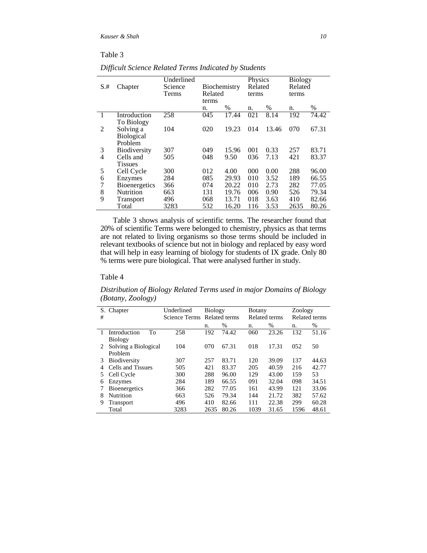# Table 3

| $S$ .# | Chapter              | Underlined<br>Science<br>Terms | Biochemistry<br>Related |       | Physics<br>Related<br>terms |       | <b>Biology</b><br>Related<br>terms |       |
|--------|----------------------|--------------------------------|-------------------------|-------|-----------------------------|-------|------------------------------------|-------|
|        |                      |                                | terms                   |       |                             |       |                                    |       |
|        |                      |                                | n.                      | $\%$  | n.                          | $\%$  | n.                                 | $\%$  |
|        | Introduction         | 258                            | 045                     | 17.44 | 021                         | 8.14  | 192                                | 74.42 |
|        | To Biology           |                                |                         |       |                             |       |                                    |       |
| 2      | Solving a            | 104                            | 020                     | 19.23 | 014                         | 13.46 | 070                                | 67.31 |
|        | <b>Biological</b>    |                                |                         |       |                             |       |                                    |       |
|        | Problem              |                                |                         |       |                             |       |                                    |       |
| 3      | Biodiversity         | 307                            | 049                     | 15.96 | 001                         | 0.33  | 257                                | 83.71 |
| 4      | Cells and            | 505                            | 048                     | 9.50  | 036                         | 7.13  | 421                                | 83.37 |
|        | <b>Tissues</b>       |                                |                         |       |                             |       |                                    |       |
| 5      | Cell Cycle           | 300                            | 012                     | 4.00  | 000                         | 0.00  | 288                                | 96.00 |
| 6      | Enzymes              | 284                            | 085                     | 29.93 | 010                         | 3.52  | 189                                | 66.55 |
| 7      | <b>Bioenergetics</b> | 366                            | 074                     | 20.22 | 010                         | 2.73  | 282                                | 77.05 |
| 8      | <b>Nutrition</b>     | 663                            | 131                     | 19.76 | 006                         | 0.90  | 526                                | 79.34 |
| 9      | Transport            | 496                            | 068                     | 13.71 | 018                         | 3.63  | 410                                | 82.66 |
|        | Total                | 3283                           | 532                     | 16.20 | 116                         | 3.53  | 2635                               | 80.26 |

*Difficult Science Related Terms Indicated by Students*

Table 3 shows analysis of scientific terms. The researcher found that 20% of scientific Terms were belonged to chemistry, physics as that terms are not related to living organisms so those terms should be included in relevant textbooks of science but not in biology and replaced by easy word that will help in easy learning of biology for students of IX grade. Only 80 % terms were pure biological. That were analysed further in study.

# Table 4

*Distribution of Biology Related Terms used in major Domains of Biology (Botany, Zoology)*

| S. | Chapter              | Underlined    | <b>Biology</b> |       | <b>B</b> otany |       | Zoology              |       |
|----|----------------------|---------------|----------------|-------|----------------|-------|----------------------|-------|
| #  |                      | Science Terms | Related terms  |       | Related terms  |       | <b>Related terms</b> |       |
|    |                      |               | n.             | $\%$  | n.             | %     | n.                   | $\%$  |
|    | To<br>Introduction   | 258           | 192            | 74.42 | 060            | 23.26 | 132                  | 51.16 |
|    | <b>Biology</b>       |               |                |       |                |       |                      |       |
| 2  | Solving a Biological | 104           | 070            | 67.31 | 018            | 17.31 | 052                  | 50    |
|    | Problem              |               |                |       |                |       |                      |       |
| 3  | Biodiversity         | 307           | 257            | 83.71 | 120            | 39.09 | 137                  | 44.63 |
| 4  | Cells and Tissues    | 505           | 421            | 83.37 | 205            | 40.59 | 216                  | 42.77 |
| 5. | Cell Cycle           | 300           | 288            | 96.00 | 129            | 43.00 | 159                  | 53    |
| 6  | Enzymes              | 284           | 189            | 66.55 | 091            | 32.04 | 098                  | 34.51 |
|    | <b>Bioenergetics</b> | 366           | 282            | 77.05 | 161            | 43.99 | 121                  | 33.06 |
| 8  | Nutrition            | 663           | 526            | 79.34 | 144            | 21.72 | 382                  | 57.62 |
| 9  | Transport            | 496           | 410            | 82.66 | 111            | 22.38 | 299                  | 60.28 |
|    | Total                | 3283          | 2635           | 80.26 | 1039           | 31.65 | 1596                 | 48.61 |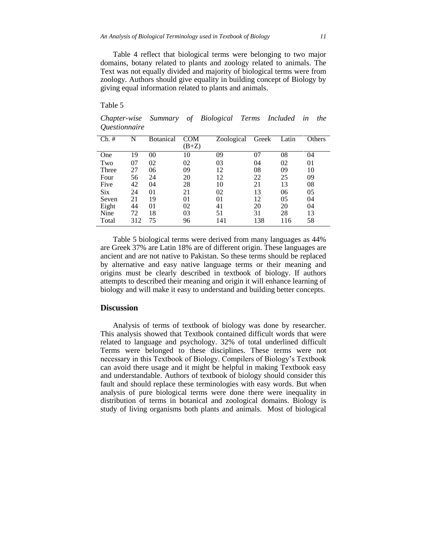Table 4 reflect that biological terms were belonging to two major domains, botany related to plants and zoology related to animals. The Text was not equally divided and majority of biological terms were from zoology. Authors should give equality in building concept of Biology by giving equal information related to plants and animals.

#### Table 5

*Chapter-wise Summary of Biological Terms Included in the Questionnaire*

| Ch. #      | N   | <b>Botanical</b> | COM<br>$(B+Z)$ | Zoological | Greek | Latin | Others |
|------------|-----|------------------|----------------|------------|-------|-------|--------|
| One        | 19  | 00               | 10             | 09         | 07    | 08    | 04     |
| Two        | 07  | 02               | 02             | 03         | 04    | 02    | 01     |
| Three      | 27  | 06               | 09             | 12         | 08    | 09    | 10     |
| Four       | 56  | 24               | 20             | 12         | 22    | 25    | 09     |
| Five       | 42  | 04               | 28             | 10         | 21    | 13    | 08     |
| <b>Six</b> | 24  | 0 <sub>1</sub>   | 21             | 02         | 13    | 06    | 05     |
| Seven      | 21  | 19               | 01             | 01         | 12    | 05    | 04     |
| Eight      | 44  | 0 <sub>1</sub>   | 02             | 41         | 20    | 20    | 04     |
| Nine       | 72  | 18               | 03             | 51         | 31    | 28    | 13     |
| Total      | 312 | 75               | 96             | 141        | 138   | 116   | 58     |

Table 5 biological terms were derived from many languages as 44% are Greek 37% are Latin 18% are of different origin. These languages are ancient and are not native to Pakistan. So these terms should be replaced by alternative and easy native language terms or their meaning and origins must be clearly described in textbook of biology. If authors attempts to described their meaning and origin it will enhance learning of biology and will make it easy to understand and building better concepts.

#### **Discussion**

Analysis of terms of textbook of biology was done by researcher. This analysis showed that Textbook contained difficult words that were related to language and psychology. 32% of total underlined difficult Terms were belonged to these disciplines. These terms were not necessary in this Textbook of Biology. Compilers of Biology"s Textbook can avoid there usage and it might be helpful in making Textbook easy and understandable. Authors of textbook of biology should consider this fault and should replace these terminologies with easy words. But when analysis of pure biological terms were done there were inequality in distribution of terms in botanical and zoological domains. Biology is study of living organisms both plants and animals. Most of biological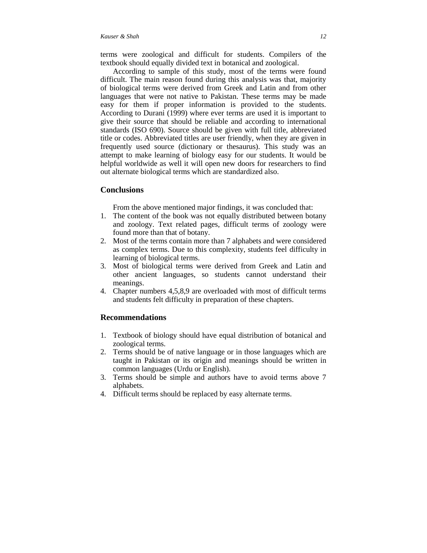#### *Kauser & Shah 12*

terms were zoological and difficult for students. Compilers of the textbook should equally divided text in botanical and zoological.

According to sample of this study, most of the terms were found difficult. The main reason found during this analysis was that, majority of biological terms were derived from Greek and Latin and from other languages that were not native to Pakistan. These terms may be made easy for them if proper information is provided to the students. According to Durani (1999) where ever terms are used it is important to give their source that should be reliable and according to international standards (ISO 690). Source should be given with full title, abbreviated title or codes. Abbreviated titles are user friendly, when they are given in frequently used source (dictionary or thesaurus). This study was an attempt to make learning of biology easy for our students. It would be helpful worldwide as well it will open new doors for researchers to find out alternate biological terms which are standardized also.

### **Conclusions**

From the above mentioned major findings, it was concluded that:

- 1. The content of the book was not equally distributed between botany and zoology. Text related pages, difficult terms of zoology were found more than that of botany.
- 2. Most of the terms contain more than 7 alphabets and were considered as complex terms. Due to this complexity, students feel difficulty in learning of biological terms.
- 3. Most of biological terms were derived from Greek and Latin and other ancient languages, so students cannot understand their meanings.
- 4. Chapter numbers 4,5,8,9 are overloaded with most of difficult terms and students felt difficulty in preparation of these chapters.

#### **Recommendations**

- 1. Textbook of biology should have equal distribution of botanical and zoological terms.
- 2. Terms should be of native language or in those languages which are taught in Pakistan or its origin and meanings should be written in common languages (Urdu or English).
- 3. Terms should be simple and authors have to avoid terms above 7 alphabets.
- 4. Difficult terms should be replaced by easy alternate terms.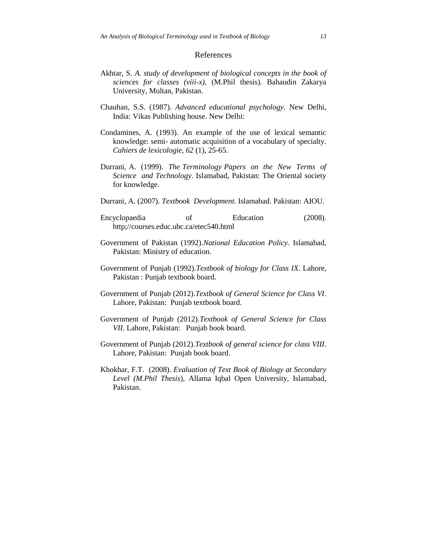#### References

- Akhtar, S. *A. study of development of biological concepts in the book of sciences for classes (viii-x)*, (M.Phil thesis). Bahaudin Zakarya University, Multan, Pakistan.
- Chauhan, S.S. (1987). *Advanced educational psychology*. New Delhi, India: Vikas Publishing house. New Delhi:
- Condamines, A. (1993). An example of the use of lexical semantic knowledge: semi- automatic acquisition of a vocabulary of specialty. *Cahiers de lexicologie, 62* (1), 25-65.
- Durrani, A. (1999). *The Terminology Papers on the New Terms of Science and Technology*. Islamabad, Pakistan: The Oriental society for knowledge.
- Durrani, A. (2007). *Textbook Development.* Islamabad. Pakistan: AIOU.
- Encyclopaedia of Education (2008). http;//courses.educ.ubc.ca/etec540.html
- Government of Pakistan (1992).*National Education Policy*. Islamabad, Pakistan: Ministry of education.
- Government of Punjab (1992).*Textbook of biology for Class IX*. Lahore, Pakistan : Punjab textbook board.
- Government of Punjab (2012).*Textbook of General Science for Class VI*. Lahore, Pakistan: Punjab textbook board.
- Government of Punjab (2012).*Textbook of General Science for Class VII*. Lahore, Pakistan: Punjab book board.
- Government of Punjab (2012).*Textbook of general science for class VIII*. Lahore, Pakistan: Punjab book board.
- Khokhar, F.T. (2008). *Evaluation of Text Book of Biology at Secondary Level (M.Phil Thesis*), Allama Iqbal Open University, Islamabad, Pakistan.